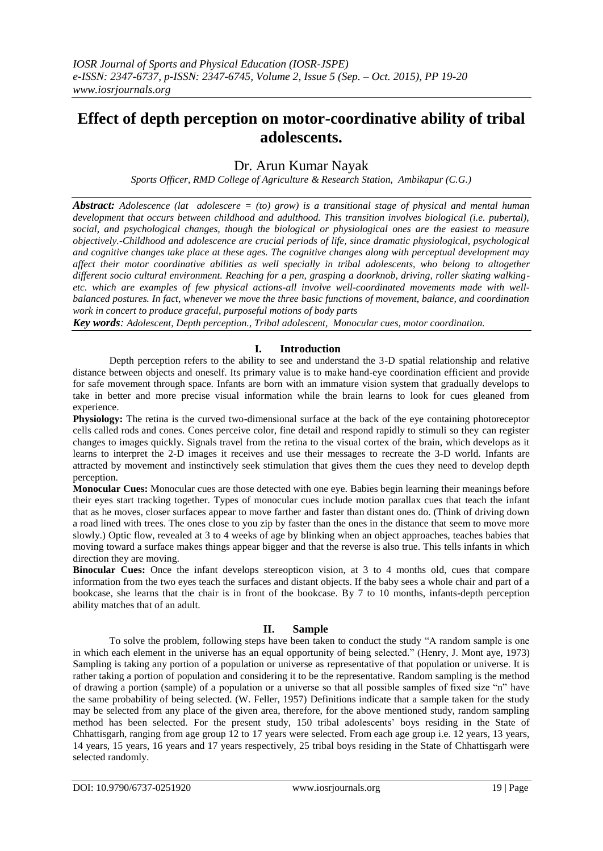# **Effect of depth perception on motor-coordinative ability of tribal adolescents.**

# Dr. Arun Kumar Nayak

*Sports Officer, RMD College of Agriculture & Research Station, Ambikapur (C.G.)*

*Abstract: Adolescence (lat adolescere = (to) grow) is a transitional stage of physical and mental human development that occurs between childhood and adulthood. This transition involves biological (i.e. pubertal), social, and psychological changes, though the biological or physiological ones are the easiest to measure objectively.-Childhood and adolescence are crucial periods of life, since dramatic physiological, psychological and cognitive changes take place at these ages. The cognitive changes along with perceptual development may affect their motor coordinative abilities as well specially in tribal adolescents, who belong to altogether different socio cultural environment. Reaching for a pen, grasping a doorknob, driving, roller skating walkingetc. which are examples of few physical actions-all involve well-coordinated movements made with wellbalanced postures. In fact, whenever we move the three basic functions of movement, balance, and coordination work in concert to produce graceful, purposeful motions of body parts*

*Key words: Adolescent, Depth perception., Tribal adolescent, Monocular cues, motor coordination.*

## **I. Introduction**

Depth perception refers to the ability to see and understand the 3-D spatial relationship and relative distance between objects and oneself. Its primary value is to make hand-eye coordination efficient and provide for safe movement through space. Infants are born with an immature vision system that gradually develops to take in better and more precise visual information while the brain learns to look for cues gleaned from experience.

**Physiology:** The retina is the curved two-dimensional surface at the back of the eye containing photoreceptor cells called rods and cones. Cones perceive color, fine detail and respond rapidly to stimuli so they can register changes to images quickly. Signals travel from the retina to the visual cortex of the brain, which develops as it learns to interpret the 2-D images it receives and use their messages to recreate the 3-D world. Infants are attracted by movement and instinctively seek stimulation that gives them the cues they need to develop depth perception.

**Monocular Cues:** Monocular cues are those detected with one eye. Babies begin learning their meanings before their eyes start tracking together. Types of monocular cues include motion parallax cues that teach the infant that as he moves, closer surfaces appear to move farther and faster than distant ones do. (Think of driving down a road lined with trees. The ones close to you zip by faster than the ones in the distance that seem to move more slowly.) Optic flow, revealed at 3 to 4 weeks of age by blinking when an object approaches, teaches babies that moving toward a surface makes things appear bigger and that the reverse is also true. This tells infants in which direction they are moving.

**Binocular Cues:** Once the infant develops stereopticon vision, at 3 to 4 months old, cues that compare information from the two eyes teach the surfaces and distant objects. If the baby sees a whole chair and part of a bookcase, she learns that the chair is in front of the bookcase. By 7 to 10 months, infants-depth perception ability matches that of an adult.

### **II. Sample**

To solve the problem, following steps have been taken to conduct the study "A random sample is one in which each element in the universe has an equal opportunity of being selected." (Henry, J. Mont aye, 1973) Sampling is taking any portion of a population or universe as representative of that population or universe. It is rather taking a portion of population and considering it to be the representative. Random sampling is the method of drawing a portion (sample) of a population or a universe so that all possible samples of fixed size "n" have the same probability of being selected. (W. Feller, 1957) Definitions indicate that a sample taken for the study may be selected from any place of the given area, therefore, for the above mentioned study, random sampling method has been selected. For the present study, 150 tribal adolescents' boys residing in the State of Chhattisgarh, ranging from age group 12 to 17 years were selected. From each age group i.e. 12 years, 13 years, 14 years, 15 years, 16 years and 17 years respectively, 25 tribal boys residing in the State of Chhattisgarh were selected randomly.